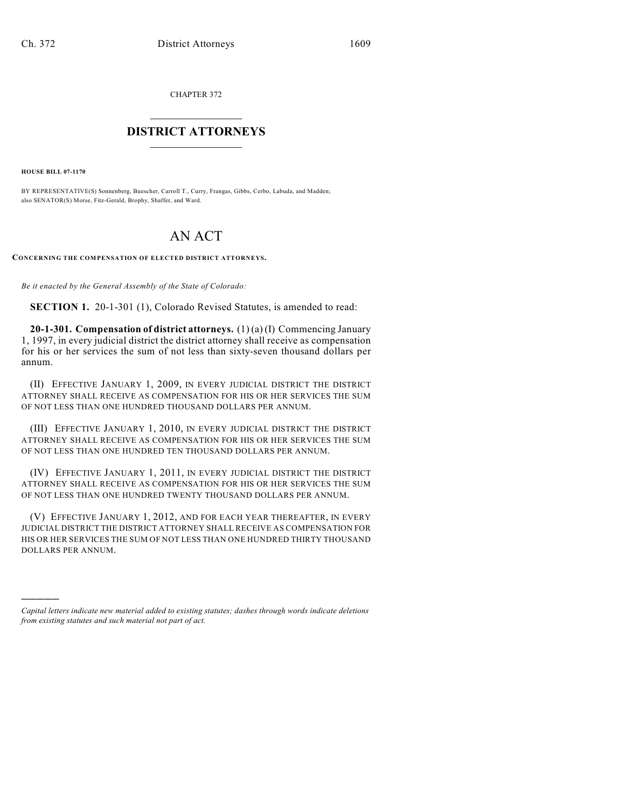CHAPTER 372  $\mathcal{L}_\text{max}$  . The set of the set of the set of the set of the set of the set of the set of the set of the set of the set of the set of the set of the set of the set of the set of the set of the set of the set of the set

## **DISTRICT ATTORNEYS**  $\_$   $\_$   $\_$   $\_$   $\_$   $\_$   $\_$   $\_$

**HOUSE BILL 07-1170**

)))))

BY REPRESENTATIVE(S) Sonnenberg, Buescher, Carroll T., Curry, Frangas, Gibbs, Cerbo, Labuda, and Madden; also SENATOR(S) Morse, Fitz-Gerald, Brophy, Shaffer, and Ward.

## AN ACT

**CONCERNING THE COMPENSATION OF ELECTED DISTRICT ATTORNEYS.**

*Be it enacted by the General Assembly of the State of Colorado:*

**SECTION 1.** 20-1-301 (1), Colorado Revised Statutes, is amended to read:

**20-1-301. Compensation of district attorneys.** (1) (a) (I) Commencing January 1, 1997, in every judicial district the district attorney shall receive as compensation for his or her services the sum of not less than sixty-seven thousand dollars per annum.

(II) EFFECTIVE JANUARY 1, 2009, IN EVERY JUDICIAL DISTRICT THE DISTRICT ATTORNEY SHALL RECEIVE AS COMPENSATION FOR HIS OR HER SERVICES THE SUM OF NOT LESS THAN ONE HUNDRED THOUSAND DOLLARS PER ANNUM.

(III) EFFECTIVE JANUARY 1, 2010, IN EVERY JUDICIAL DISTRICT THE DISTRICT ATTORNEY SHALL RECEIVE AS COMPENSATION FOR HIS OR HER SERVICES THE SUM OF NOT LESS THAN ONE HUNDRED TEN THOUSAND DOLLARS PER ANNUM.

(IV) EFFECTIVE JANUARY 1, 2011, IN EVERY JUDICIAL DISTRICT THE DISTRICT ATTORNEY SHALL RECEIVE AS COMPENSATION FOR HIS OR HER SERVICES THE SUM OF NOT LESS THAN ONE HUNDRED TWENTY THOUSAND DOLLARS PER ANNUM.

(V) EFFECTIVE JANUARY 1, 2012, AND FOR EACH YEAR THEREAFTER, IN EVERY JUDICIAL DISTRICT THE DISTRICT ATTORNEY SHALL RECEIVE AS COMPENSATION FOR HIS OR HER SERVICES THE SUM OF NOT LESS THAN ONE HUNDRED THIRTY THOUSAND DOLLARS PER ANNUM.

*Capital letters indicate new material added to existing statutes; dashes through words indicate deletions from existing statutes and such material not part of act.*